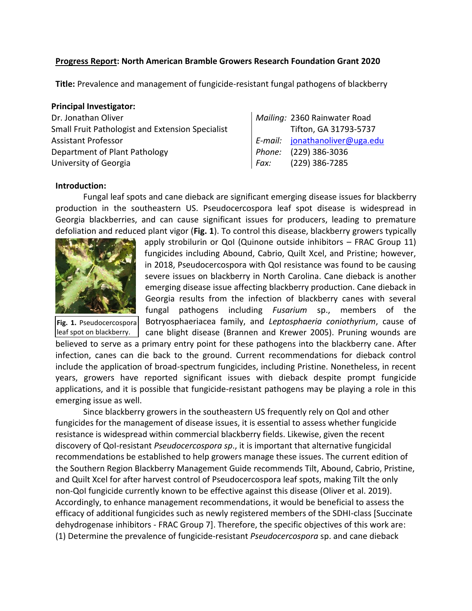#### **Progress Report: North American Bramble Growers Research Foundation Grant 2020**

**Title:** Prevalence and management of fungicide-resistant fungal pathogens of blackberry

#### **Principal Investigator:**

| Dr. Jonathan Oliver                              |
|--------------------------------------------------|
| Small Fruit Pathologist and Extension Specialist |
| Assistant Professor                              |
| Department of Plant Pathology                    |
| University of Georgia                            |

# Mailing: 2360 Rainwater Road Tifton, GA 31793-5737 Assistant Professor *E-mail:* [jonathanoliver@uga.edu](mailto:jonathanoliver@uga.edu) Phone: (229) 386-3036 University of Georgia *Fax:* (229) 386-7285

#### **Introduction:**

Fungal leaf spots and cane dieback are significant emerging disease issues for blackberry production in the southeastern US. Pseudocercospora leaf spot disease is widespread in Georgia blackberries, and can cause significant issues for producers, leading to premature defoliation and reduced plant vigor (**Fig. 1**). To control this disease, blackberry growers typically



**Fig. 1.** Pseudocercospora leaf spot on blackberry.

apply strobilurin or QoI (Quinone outside inhibitors – FRAC Group 11) fungicides including Abound, Cabrio, Quilt Xcel, and Pristine; however, in 2018, Pseudocercospora with QoI resistance was found to be causing severe issues on blackberry in North Carolina. Cane dieback is another emerging disease issue affecting blackberry production. Cane dieback in Georgia results from the infection of blackberry canes with several fungal pathogens including *Fusarium* sp., members of the Botryosphaeriacea family, and *Leptosphaeria coniothyrium*, cause of cane blight disease (Brannen and Krewer 2005). Pruning wounds are

believed to serve as a primary entry point for these pathogens into the blackberry cane. After infection, canes can die back to the ground. Current recommendations for dieback control include the application of broad-spectrum fungicides, including Pristine. Nonetheless, in recent years, growers have reported significant issues with dieback despite prompt fungicide applications, and it is possible that fungicide-resistant pathogens may be playing a role in this emerging issue as well.

Since blackberry growers in the southeastern US frequently rely on QoI and other fungicides for the management of disease issues, it is essential to assess whether fungicide resistance is widespread within commercial blackberry fields. Likewise, given the recent discovery of QoI-resistant *Pseudocercospora sp*., it is important that alternative fungicidal recommendations be established to help growers manage these issues. The current edition of the Southern Region Blackberry Management Guide recommends Tilt, Abound, Cabrio, Pristine, and Quilt Xcel for after harvest control of Pseudocercospora leaf spots, making Tilt the only non-QoI fungicide currently known to be effective against this disease (Oliver et al. 2019). Accordingly, to enhance management recommendations, it would be beneficial to assess the efficacy of additional fungicides such as newly registered members of the SDHI-class [Succinate dehydrogenase inhibitors - FRAC Group 7]. Therefore, the specific objectives of this work are: (1) Determine the prevalence of fungicide-resistant *Pseudocercospora* sp. and cane dieback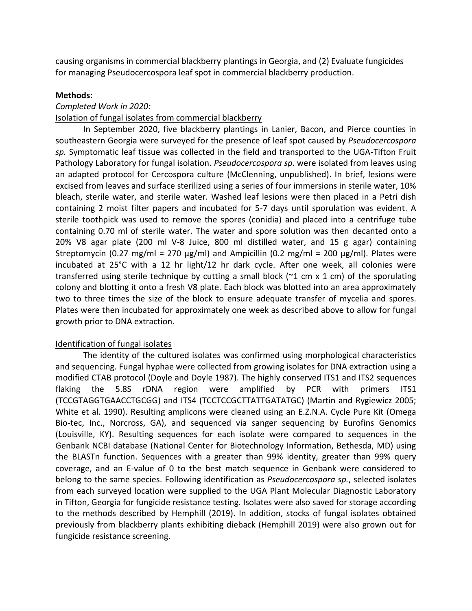causing organisms in commercial blackberry plantings in Georgia, and (2) Evaluate fungicides for managing Pseudocercospora leaf spot in commercial blackberry production.

## **Methods:**

## *Completed Work in 2020:*

## Isolation of fungal isolates from commercial blackberry

In September 2020, five blackberry plantings in Lanier, Bacon, and Pierce counties in southeastern Georgia were surveyed for the presence of leaf spot caused by *Pseudocercospora sp.* Symptomatic leaf tissue was collected in the field and transported to the UGA-Tifton Fruit Pathology Laboratory for fungal isolation. *Pseudocercospora sp.* were isolated from leaves using an adapted protocol for Cercospora culture (McClenning, unpublished). In brief, lesions were excised from leaves and surface sterilized using a series of four immersions in sterile water, 10% bleach, sterile water, and sterile water. Washed leaf lesions were then placed in a Petri dish containing 2 moist filter papers and incubated for 5-7 days until sporulation was evident. A sterile toothpick was used to remove the spores (conidia) and placed into a centrifuge tube containing 0.70 ml of sterile water. The water and spore solution was then decanted onto a 20% V8 agar plate (200 ml V-8 Juice, 800 ml distilled water, and 15 g agar) containing Streptomycin (0.27 mg/ml = 270  $\mu$ g/ml) and Ampicillin (0.2 mg/ml = 200  $\mu$ g/ml). Plates were incubated at 25°C with a 12 hr light/12 hr dark cycle. After one week, all colonies were transferred using sterile technique by cutting a small block ( $\approx$ 1 cm x 1 cm) of the sporulating colony and blotting it onto a fresh V8 plate. Each block was blotted into an area approximately two to three times the size of the block to ensure adequate transfer of mycelia and spores. Plates were then incubated for approximately one week as described above to allow for fungal growth prior to DNA extraction.

## Identification of fungal isolates

The identity of the cultured isolates was confirmed using morphological characteristics and sequencing. Fungal hyphae were collected from growing isolates for DNA extraction using a modified CTAB protocol (Doyle and Doyle 1987). The highly conserved ITS1 and ITS2 sequences flaking the 5.8S rDNA region were amplified by PCR with primers ITS1 (TCCGTAGGTGAACCTGCGG) and ITS4 (TCCTCCGCTTATTGATATGC) (Martin and Rygiewicz 2005; White et al. 1990). Resulting amplicons were cleaned using an E.Z.N.A. Cycle Pure Kit (Omega Bio-tec, Inc., Norcross, GA), and sequenced via sanger sequencing by Eurofins Genomics (Louisville, KY). Resulting sequences for each isolate were compared to sequences in the Genbank NCBI database (National Center for Biotechnology Information, Bethesda, MD) using the BLASTn function. Sequences with a greater than 99% identity, greater than 99% query coverage, and an E-value of 0 to the best match sequence in Genbank were considered to belong to the same species. Following identification as *Pseudocercospora sp.*, selected isolates from each surveyed location were supplied to the UGA Plant Molecular Diagnostic Laboratory in Tifton, Georgia for fungicide resistance testing. Isolates were also saved for storage according to the methods described by Hemphill (2019). In addition, stocks of fungal isolates obtained previously from blackberry plants exhibiting dieback (Hemphill 2019) were also grown out for fungicide resistance screening.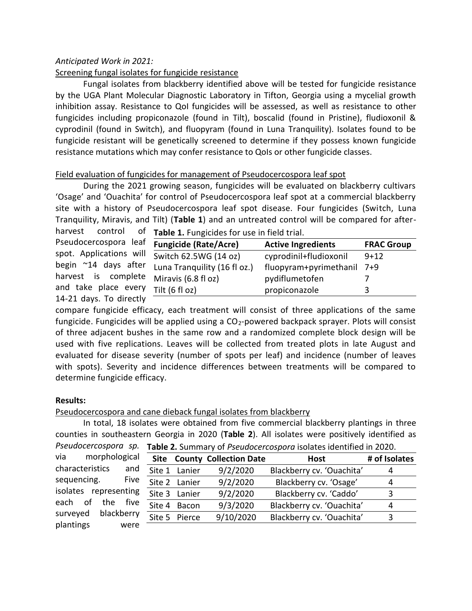## *Anticipated Work in 2021:*

## Screening fungal isolates for fungicide resistance

Fungal isolates from blackberry identified above will be tested for fungicide resistance by the UGA Plant Molecular Diagnostic Laboratory in Tifton, Georgia using a mycelial growth inhibition assay. Resistance to QoI fungicides will be assessed, as well as resistance to other fungicides including propiconazole (found in Tilt), boscalid (found in Pristine), fludioxonil & cyprodinil (found in Switch), and fluopyram (found in Luna Tranquility). Isolates found to be fungicide resistant will be genetically screened to determine if they possess known fungicide resistance mutations which may confer resistance to QoIs or other fungicide classes.

## Field evaluation of fungicides for management of Pseudocercospora leaf spot

During the 2021 growing season, fungicides will be evaluated on blackberry cultivars 'Osage' and 'Ouachita' for control of Pseudocercospora leaf spot at a commercial blackberry site with a history of Pseudocercospora leaf spot disease. Four fungicides (Switch, Luna Tranquility, Miravis, and Tilt) (**Table 1**) and an untreated control will be compared for after-

harvest control of Pseudocercospora lea spot. Applications wi begin  $^{\sim}$ 14 days afte harvest is complet and take place ever 14-21 days. To directly

| Table 1. Fungicides for use in field trial. |  |
|---------------------------------------------|--|
|                                             |  |

| <b>Fungicide (Rate/Acre)</b>      | <b>Active Ingredients</b> | <b>FRAC Group</b> |
|-----------------------------------|---------------------------|-------------------|
| Switch 62.5WG (14 oz)             | cyprodinil+fludioxonil    | $9+12$            |
| Luna Tranquility (16 fl oz.)      | fluopyram+pyrimethanil    | 7+9               |
| <sup>te</sup> Miravis (6.8 fl oz) | pydiflumetofen            |                   |
| Tilt (6 fl oz)                    | propiconazole             |                   |
|                                   |                           |                   |

compare fungicide efficacy, each treatment will consist of three applications of the same fungicide. Fungicides will be applied using a  $CO<sub>2</sub>$ -powered backpack sprayer. Plots will consist of three adjacent bushes in the same row and a randomized complete block design will be used with five replications. Leaves will be collected from treated plots in late August and evaluated for disease severity (number of spots per leaf) and incidence (number of leaves with spots). Severity and incidence differences between treatments will be compared to determine fungicide efficacy.

## **Results:**

## Pseudocercospora and cane dieback fungal isolates from blackberry

In total, 18 isolates were obtained from five commercial blackberry plantings in three counties in southeastern Georgia in 2020 (**Table 2**). All isolates were positively identified as *Pseudocercospora sp.* **Table 2.** Summary of *Pseudocercospora* isolates identified in 2020.

| via                   | morphological |            |               | <b>Site County Collection Date</b> | Host                      | # of Isolates |
|-----------------------|---------------|------------|---------------|------------------------------------|---------------------------|---------------|
| characteristics       |               | and        | Site 1 Lanier | 9/2/2020                           | Blackberry cv. 'Ouachita' |               |
| sequencing.           |               | Five       | Site 2 Lanier | 9/2/2020                           | Blackberry cv. 'Osage'    | 4             |
| isolates representing |               |            | Site 3 Lanier | 9/2/2020                           | Blackberry cv. 'Caddo'    | ર             |
| each of the           |               | five       | Site 4 Bacon  | 9/3/2020                           | Blackberry cv. 'Ouachita' | 4             |
| surveyed              |               | blackberry | Site 5 Pierce | 9/10/2020                          | Blackberry cv. 'Ouachita' |               |
| plantings             |               | were       |               |                                    |                           |               |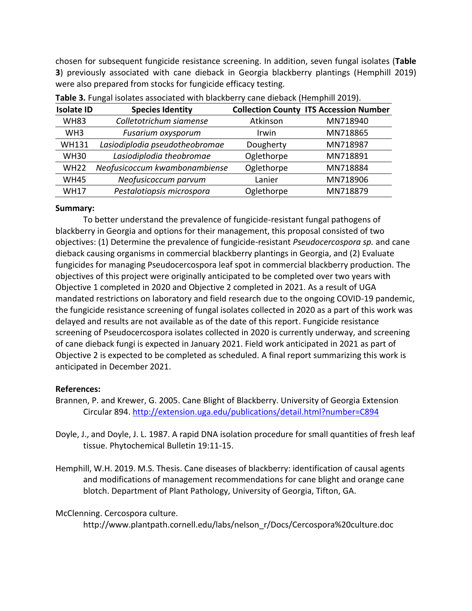chosen for subsequent fungicide resistance screening. In addition, seven fungal isolates (**Table 3**) previously associated with cane dieback in Georgia blackberry plantings (Hemphill 2019) were also prepared from stocks for fungicide efficacy testing.

| <b>Isolate ID</b> | <b>Species Identity</b>        |            | <b>Collection County ITS Accession Number</b> |
|-------------------|--------------------------------|------------|-----------------------------------------------|
| <b>WH83</b>       | Colletotrichum siamense        | Atkinson   | MN718940                                      |
| WH <sub>3</sub>   | Fusarium oxysporum             | Irwin      | MN718865                                      |
| <b>WH131</b>      | Lasiodiplodia pseudotheobromae | Dougherty  | MN718987                                      |
| <b>WH30</b>       | Lasiodiplodia theobromae       | Oglethorpe | MN718891                                      |
| <b>WH22</b>       | Neofusicoccum kwambonambiense  | Oglethorpe | MN718884                                      |
| <b>WH45</b>       | Neofusicoccum parvum           | Lanier     | MN718906                                      |
| <b>WH17</b>       | Pestalotiopsis microspora      | Oglethorpe | MN718879                                      |

|  |  | Table 3. Fungal isolates associated with blackberry cane dieback (Hemphill 2019). |
|--|--|-----------------------------------------------------------------------------------|
|  |  |                                                                                   |

## **Summary:**

To better understand the prevalence of fungicide-resistant fungal pathogens of blackberry in Georgia and options for their management, this proposal consisted of two objectives: (1) Determine the prevalence of fungicide-resistant *Pseudocercospora sp.* and cane dieback causing organisms in commercial blackberry plantings in Georgia, and (2) Evaluate fungicides for managing Pseudocercospora leaf spot in commercial blackberry production. The objectives of this project were originally anticipated to be completed over two years with Objective 1 completed in 2020 and Objective 2 completed in 2021. As a result of UGA mandated restrictions on laboratory and field research due to the ongoing COVID-19 pandemic, the fungicide resistance screening of fungal isolates collected in 2020 as a part of this work was delayed and results are not available as of the date of this report. Fungicide resistance screening of Pseudocercospora isolates collected in 2020 is currently underway, and screening of cane dieback fungi is expected in January 2021. Field work anticipated in 2021 as part of Objective 2 is expected to be completed as scheduled. A final report summarizing this work is anticipated in December 2021.

## **References:**

- Brannen, P. and Krewer, G. 2005. Cane Blight of Blackberry. University of Georgia Extension Circular 894.<http://extension.uga.edu/publications/detail.html?number=C894>
- Doyle, J., and Doyle, J. L. 1987. A rapid DNA isolation procedure for small quantities of fresh leaf tissue. Phytochemical Bulletin 19:11-15.
- Hemphill, W.H. 2019. M.S. Thesis. Cane diseases of blackberry: identification of causal agents and modifications of management recommendations for cane blight and orange cane blotch. Department of Plant Pathology, University of Georgia, Tifton, GA.

## McClenning. Cercospora culture.

http://www.plantpath.cornell.edu/labs/nelson\_r/Docs/Cercospora%20culture.doc